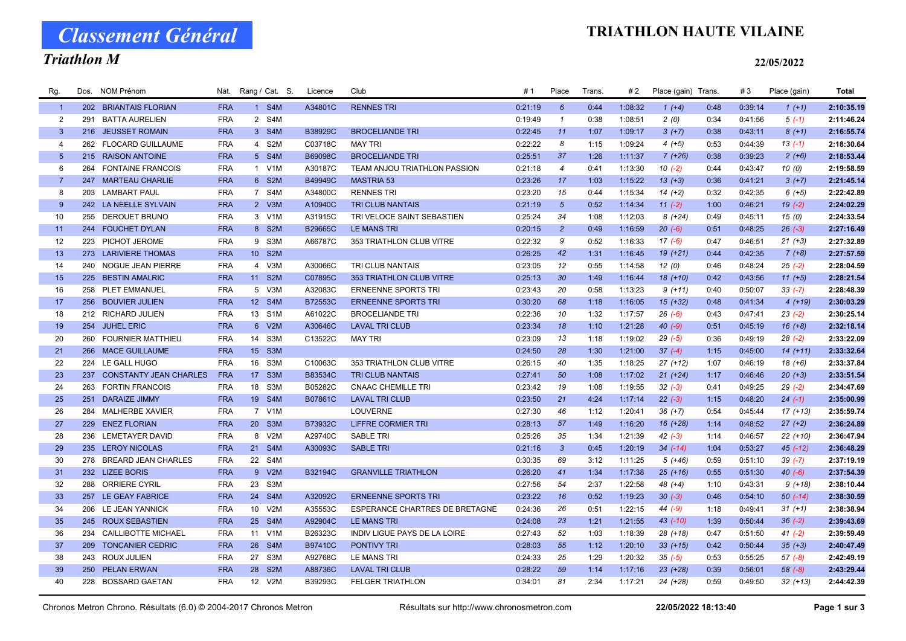# Classement Général

### Triathlon M

### TRIATHLON HAUTE VILAINE

#### 22/05/2022

| Rg.            | Dos. | <b>NOM Prénom</b>             | Nat.       | Rang / Cat. S.                      | Licence | Club                                  | #1      | Place           | Trans. | # 2     | Place (gain) Trans. |      | #3      | Place (gain) | <b>Total</b> |
|----------------|------|-------------------------------|------------|-------------------------------------|---------|---------------------------------------|---------|-----------------|--------|---------|---------------------|------|---------|--------------|--------------|
| $\overline{1}$ |      | 202 BRIANTAIS FLORIAN         | <b>FRA</b> | 1 S4M                               | A34801C | <b>RENNES TRI</b>                     | 0:21:19 | $6\overline{6}$ | 0:44   | 1:08:32 | $1 (+4)$            | 0:48 | 0:39:14 | $1(+1)$      | 2:10:35.19   |
| 2              | 291  | <b>BATTA AURELIEN</b>         | <b>FRA</b> | 2 S4M                               |         |                                       | 0:19:49 | $\mathbf{1}$    | 0:38   | 1:08:51 | 2(0)                | 0:34 | 0:41:56 | $5(-1)$      | 2:11:46.24   |
| $\mathbf{3}$   |      | 216 JEUSSET ROMAIN            | <b>FRA</b> | 3 S4M                               | B38929C | <b>BROCELIANDE TRI</b>                | 0:22:45 | 11              | 1:07   | 1:09:17 | $3(+7)$             | 0:38 | 0:43:11 | $8(+1)$      | 2:16:55.74   |
| $\overline{4}$ | 262  | <b>FLOCARD GUILLAUME</b>      | <b>FRA</b> | 4 S2M                               | C03718C | <b>MAY TRI</b>                        | 0:22:22 | 8               | 1:15   | 1:09:24 | $4(+5)$             | 0:53 | 0:44:39 | $13(-1)$     | 2:18:30.64   |
| 5              |      | 215 RAISON ANTOINE            | <b>FRA</b> | 5 S4M                               | B69098C | <b>BROCELIANDE TRI</b>                | 0:25:51 | 37              | 1:26   | 1:11:37 | $7(+26)$            | 0:38 | 0:39:23 | $2(+6)$      | 2:18:53.44   |
| 6              | 264  | <b>FONTAINE FRANCOIS</b>      | <b>FRA</b> | 1 V1M                               | A30187C | TEAM ANJOU TRIATHLON PASSION          | 0:21:18 | $\overline{4}$  | 0:41   | 1:13:30 | $10(-2)$            | 0:44 | 0:43:47 | 10(0)        | 2:19:58.59   |
| $\overline{7}$ | 247  | <b>MARTEAU CHARLIE</b>        | <b>FRA</b> | 6 S2M                               | B49949C | <b>MASTRIA 53</b>                     | 0:23:26 | 17              | 1:03   | 1:15:22 | $13 (+3)$           | 0:36 | 0:41:21 | $3(+7)$      | 2:21:45.14   |
| 8              | 203  | <b>LAMBART PAUL</b>           | <b>FRA</b> | 7 S4M                               | A34800C | <b>RENNES TRI</b>                     | 0:23:20 | 15              | 0:44   | 1:15:34 | $14(+2)$            | 0:32 | 0:42:35 | $6 (+5)$     | 2:22:42.89   |
| 9              |      | 242 LA NEELLE SYLVAIN         | <b>FRA</b> | 2 V3M                               | A10940C | <b>TRI CLUB NANTAIS</b>               | 0:21:19 | $\overline{5}$  | 0:52   | 1:14:34 | $11(-2)$            | 1:00 | 0:46:21 | $19(-2)$     | 2:24:02.29   |
| 10             | 255  | DEROUET BRUNO                 | <b>FRA</b> | 3 V1M                               | A31915C | TRI VELOCE SAINT SEBASTIEN            | 0:25:24 | 34              | 1:08   | 1:12:03 | $8(+24)$            | 0:49 | 0:45:11 | 15(0)        | 2:24:33.54   |
| 11             |      | 244 FOUCHET DYLAN             | <b>FRA</b> | 8 S2M                               | B29665C | <b>LE MANS TRI</b>                    | 0:20:15 | $\overline{2}$  | 0:49   | 1:16:59 | $20( -6)$           | 0:51 | 0:48:25 | $26(-3)$     | 2:27:16.49   |
| 12             |      | 223 PICHOT JEROME             | <b>FRA</b> | 9 S3M                               | A66787C | 353 TRIATHLON CLUB VITRE              | 0:22:32 | 9               | 0:52   | 1:16:33 | $17(-6)$            | 0:47 | 0:46:51 | $21 (+3)$    | 2:27:32.89   |
| 13             |      | 273 LARIVIERE THOMAS          | <b>FRA</b> | S <sub>2</sub> M<br>10 <sup>1</sup> |         |                                       | 0:26:25 | 42              | 1:31   | 1:16:45 | $19(+21)$           | 0:44 | 0:42:35 | $7 (+8)$     | 2:27:57.59   |
| 14             |      | 240 NOGUE JEAN PIERRE         | <b>FRA</b> | 4 V3M                               | A30066C | <b>TRI CLUB NANTAIS</b>               | 0:23:05 | 12              | 0:55   | 1:14:58 | 12(0)               | 0:46 | 0:48:24 | $25(-2)$     | 2:28:04.59   |
| 15             |      | 225 BESTIN AMALRIC            | <b>FRA</b> | 11 S2M                              | C07895C | 353 TRIATHLON CLUB VITRE              | 0:25:13 | 30              | 1:49   | 1:16:44 | $18(+10)$           | 0:42 | 0:43:56 | $11 (+5)$    | 2:28:21.54   |
| 16             |      | 258 PLET EMMANUEL             | <b>FRA</b> | 5 V3M                               | A32083C | <b>ERNEENNE SPORTS TRI</b>            | 0:23:43 | 20              | 0:58   | 1:13:23 | $9(+11)$            | 0:40 | 0:50:07 | $33(-7)$     | 2:28:48.39   |
| 17             |      | 256 BOUVIER JULIEN            | <b>FRA</b> | 12 S4M                              | B72553C | <b>ERNEENNE SPORTS TRI</b>            | 0:30:20 | 68              | 1:18   | 1:16:05 | $15(+32)$           | 0:48 | 0:41:34 | $4(+19)$     | 2:30:03.29   |
| 18             |      | 212 RICHARD JULIEN            | <b>FRA</b> | 13<br>S <sub>1</sub> M              | A61022C | <b>BROCELIANDE TRI</b>                | 0:22:36 | 10              | 1:32   | 1:17:57 | $26( -6)$           | 0:43 | 0:47:41 | $23(-2)$     | 2:30:25.14   |
| 19             |      | 254 JUHEL ERIC                | <b>FRA</b> | V2M<br>$6^{\circ}$                  | A30646C | <b>LAVAL TRI CLUB</b>                 | 0:23:34 | 18              | 1:10   | 1:21:28 | $40(-9)$            | 0:51 | 0:45:19 | $16 (+8)$    | 2:32:18.14   |
| 20             |      | 260 FOURNIER MATTHIEU         | <b>FRA</b> | S <sub>3</sub> M<br>14              | C13522C | <b>MAY TRI</b>                        | 0:23:09 | 13              | 1:18   | 1:19:02 | $29( -5)$           | 0:36 | 0:49:19 | $28(-2)$     | 2:33:22.09   |
| 21             |      | 266 MACE GUILLAUME            | <b>FRA</b> | S <sub>3</sub> M<br>15 <sub>1</sub> |         |                                       | 0:24:50 | 28              | 1:30   | 1:21:00 | $37(-4)$            | 1:15 | 0:45:00 | $14(+11)$    | 2:33:32.64   |
| 22             |      | 224 LE GALL HUGO              | <b>FRA</b> | S3M<br>16                           | C10063C | 353 TRIATHLON CLUB VITRE              | 0:26:15 | 40              | 1:35   | 1:18:25 | $27 (+12)$          | 1:07 | 0:46:19 | $18(+6)$     | 2:33:37.84   |
| 23             | 237  | <b>CONSTANTY JEAN CHARLES</b> | <b>FRA</b> | 17 <sup>2</sup><br>S <sub>3</sub> M | B83534C | <b>TRI CLUB NANTAIS</b>               | 0:27:41 | 50              | 1:08   | 1:17:02 | $21 (+24)$          | 1:17 | 0:46:46 | $20 (+3)$    | 2:33:51.54   |
| 24             | 263  | <b>FORTIN FRANCOIS</b>        | <b>FRA</b> | S <sub>3</sub> M<br>18              | B05282C | <b>CNAAC CHEMILLE TRI</b>             | 0:23:42 | 19              | 1:08   | 1:19:55 | $32(-3)$            | 0:41 | 0:49:25 | $29(-2)$     | 2:34:47.69   |
| 25             | 251  | <b>DARAIZE JIMMY</b>          | <b>FRA</b> | 19 S4M                              | B07861C | <b>LAVAL TRI CLUB</b>                 | 0:23:50 | 21              | 4:24   | 1:17:14 | $22(-3)$            | 1:15 | 0:48:20 | $24 (-1)$    | 2:35:00.99   |
| 26             | 284  | <b>MALHERBE XAVIER</b>        | <b>FRA</b> | 7 V1M                               |         | <b>LOUVERNE</b>                       | 0:27:30 | 46              | 1:12   | 1:20:41 | $36 (+7)$           | 0:54 | 0:45:44 | $17(+13)$    | 2:35:59.74   |
| 27             |      | 229 ENEZ FLORIAN              | <b>FRA</b> | 20 <sup>°</sup><br>S <sub>3</sub> M | B73932C | <b>LIFFRE CORMIER TRI</b>             | 0:28:13 | 57              | 1:49   | 1:16:20 | $16(+28)$           | 1:14 | 0:48:52 | $27 (+2)$    | 2:36:24.89   |
| 28             |      | 236 LEMETAYER DAVID           | <b>FRA</b> | V2M<br>8                            | A29740C | <b>SABLE TRI</b>                      | 0:25:26 | 35              | 1:34   | 1:21:39 | $42(-3)$            | 1:14 | 0:46:57 | $22(+10)$    | 2:36:47.94   |
| 29             |      | 235 LEROY NICOLAS             | <b>FRA</b> | S4M<br>21                           | A30093C | <b>SABLE TRI</b>                      | 0:21:16 | $\mathbf{3}$    | 0:45   | 1:20:19 | $34$ $(-14)$        | 1:04 | 0:53:27 | $45$ (-12)   | 2:36:48.29   |
| 30             |      | 278 BREARD JEAN CHARLES       | <b>FRA</b> | 22<br>S4M                           |         |                                       | 0:30:35 | 69              | 3:12   | 1:11:25 | $5(+46)$            | 0:59 | 0:51:10 | $39(-7)$     | 2:37:19.19   |
| 31             |      | 232 LIZEE BORIS               | <b>FRA</b> | V2M<br>$9^{\circ}$                  | B32194C | <b>GRANVILLE TRIATHLON</b>            | 0:26:20 | 41              | 1:34   | 1:17:38 | $25 (+16)$          | 0:55 | 0:51:30 | $40(-6)$     | 2:37:54.39   |
| 32             |      | 288 ORRIERE CYRIL             | <b>FRA</b> | 23<br>S3M                           |         |                                       | 0:27:56 | 54              | 2:37   | 1:22:58 | 48 (+4)             | 1:10 | 0:43:31 | $9(+18)$     | 2:38:10.44   |
| 33             |      | 257 LE GEAY FABRICE           | <b>FRA</b> | S4M<br>24                           | A32092C | <b>ERNEENNE SPORTS TRI</b>            | 0:23:22 | 16              | 0:52   | 1:19:23 | $30(-3)$            | 0:46 | 0:54:10 | $50(-14)$    | 2:38:30.59   |
| 34             |      | 206 LE JEAN YANNICK           | <b>FRA</b> | V2M<br>10 <sup>1</sup>              | A35553C | <b>ESPERANCE CHARTRES DE BRETAGNE</b> | 0:24:36 | 26              | 0:51   | 1:22:15 | 44 (-9)             | 1:18 | 0:49:41 | $31 (+1)$    | 2:38:38.94   |
| 35             |      | 245 ROUX SEBASTIEN            | <b>FRA</b> | S <sub>4</sub> M<br>25              | A92904C | <b>LE MANS TRI</b>                    | 0:24:08 | 23              | 1:21   | 1:21:55 | 43 (-10)            | 1:39 | 0:50:44 | $36(-2)$     | 2:39:43.69   |
| 36             |      | 234 CAILLIBOTTE MICHAEL       | <b>FRA</b> | V <sub>1</sub> M<br>11              | B26323C | INDIV LIGUE PAYS DE LA LOIRE          | 0:27:43 | 52              | 1:03   | 1:18:39 | $28(+18)$           | 0:47 | 0:51:50 | $41 (-2)$    | 2:39:59.49   |
| 37             | 209  | <b>TONCANIER CEDRIC</b>       | <b>FRA</b> | 26<br>S <sub>4</sub> M              | B97410C | <b>PONTIVY TRI</b>                    | 0:28:03 | 55              | 1:12   | 1:20:10 | $33 (+15)$          | 0:42 | 0:50:44 | $35 (+3)$    | 2:40:47.49   |
| 38             | 243  | <b>ROUX JULIEN</b>            | <b>FRA</b> | S <sub>3</sub> M<br>27              | A92768C | <b>LE MANS TRI</b>                    | 0:24:33 | 25              | 1:29   | 1:20:32 | $35(-5)$            | 0:53 | 0:55:25 | $57(-8)$     | 2:42:49.19   |
| 39             |      | 250 PELAN ERWAN               | <b>FRA</b> | S <sub>2</sub> M<br>28              | A88736C | <b>LAVAL TRI CLUB</b>                 | 0:28:22 | 59              | 1:14   | 1:17:16 | $23(+28)$           | 0:39 | 0:56:01 | $58(-8)$     | 2:43:29.44   |
| 40             |      | 228 BOSSARD GAETAN            | <b>FRA</b> | V2M<br>12 <sup>2</sup>              | B39293C | <b>FELGER TRIATHLON</b>               | 0:34:01 | 81              | 2:34   | 1:17:21 | 24 (+28)            | 0:59 | 0:49:50 | $32 (+13)$   | 2:44:42.39   |
|                |      |                               |            |                                     |         |                                       |         |                 |        |         |                     |      |         |              |              |

Chronos Metron Chrono. Résultats (6.0) © 2004-2017 Chronos Metron Résultats sur http://www.chronosmetron.com 22/05/2022 18:13:40 Page 1 sur 3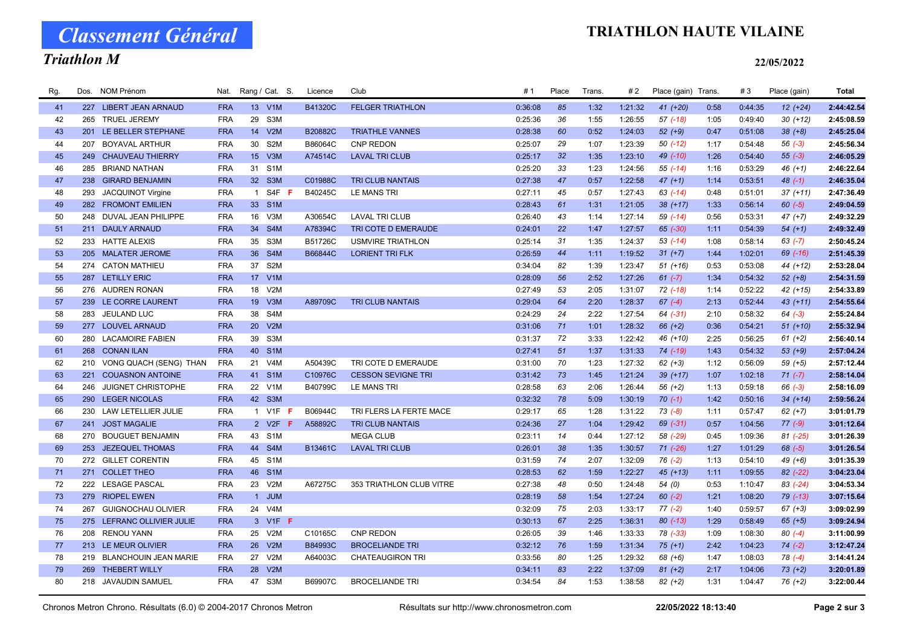# Classement Général

## Triathlon M

### TRIATHLON HAUTE VILAINE

#### 22/05/2022

| Rg. | Dos. | <b>NOM Prénom</b>            | Nat.       |                 | Rang / Cat. S.              | Licence | Club                      | #1      | Place           | Trans. | #2      | Place (gain) Trans |      | #3      | Place (gain) | <b>Total</b> |
|-----|------|------------------------------|------------|-----------------|-----------------------------|---------|---------------------------|---------|-----------------|--------|---------|--------------------|------|---------|--------------|--------------|
| 41  |      | 227 LIBERT JEAN ARNAUD       | <b>FRA</b> |                 | 13 V1M                      | B41320C | <b>FELGER TRIATHLON</b>   | 0:36:08 | 85              | 1:32   | 1:21:32 | 41 (+20)           | 0:58 | 0:44:35 | $12(+24)$    | 2:44:42.54   |
| 42  |      | 265 TRUEL JEREMY             | <b>FRA</b> | 29              | S3M                         |         |                           | 0:25:36 | 36              | 1:55   | 1:26:55 | $57$ $(-18)$       | 1:05 | 0:49:40 | $30 (+12)$   | 2:45:08.59   |
| 43  | 201  | LE BELLER STEPHANE           | <b>FRA</b> | 14              | V2M                         | B20882C | <b>TRIATHLE VANNES</b>    | 0:28:38 | 60              | 0:52   | 1:24:03 | $52 (+9)$          | 0:47 | 0:51:08 | $38 (+8)$    | 2:45:25.04   |
| 44  | 207  | <b>BOYAVAL ARTHUR</b>        | <b>FRA</b> | 30              | S <sub>2</sub> M            | B86064C | <b>CNP REDON</b>          | 0:25:07 | 29              | 1:07   | 1:23:39 | $50( -12)$         | 1:17 | 0:54:48 | $56(-3)$     | 2:45:56.34   |
| 45  | 249  | <b>CHAUVEAU THIERRY</b>      | <b>FRA</b> |                 | 15 V3M                      | A74514C | <b>LAVAL TRI CLUB</b>     | 0:25:17 | 32 <sup>2</sup> | 1:35   | 1:23:10 | 49 (-10)           | 1:26 | 0:54:40 | $55(-3)$     | 2:46:05.29   |
| 46  | 285  | <b>BRIAND NATHAN</b>         | <b>FRA</b> | 31              | S <sub>1</sub> M            |         |                           | 0:25:20 | 33              | 1:23   | 1:24:56 | $55(-14)$          | 1:16 | 0:53:29 | $46 (+1)$    | 2:46:22.64   |
| 47  |      | 238 GIRARD BENJAMIN          | <b>FRA</b> |                 | 32 S3M                      | C01988C | <b>TRI CLUB NANTAIS</b>   | 0:27:38 | 47              | 0:57   | 1:22:58 | $47 (+1)$          | 1:14 | 0:53:51 | $48(-1)$     | 2:46:35.04   |
| 48  | 293  | <b>JACQUINOT Virgine</b>     | <b>FRA</b> | $\overline{1}$  | S4F<br>F                    | B40245C | <b>LE MANS TRI</b>        | 0:27:11 | 45              | 0:57   | 1:27:43 | $63$ $(-14)$       | 0:48 | 0:51:01 | $37 (+11)$   | 2:47:36.49   |
| 49  |      | 282 FROMONT EMILIEN          | <b>FRA</b> |                 | 33 S1M                      |         |                           | 0:28:43 | 61              | 1:31   | 1:21:05 | $38(+17)$          | 1:33 | 0:56:14 | $60 (-5)$    | 2:49:04.59   |
| 50  | 248  | DUVAL JEAN PHILIPPE          | <b>FRA</b> |                 | 16 V3M                      | A30654C | <b>LAVAL TRI CLUB</b>     | 0:26:40 | 43              | 1:14   | 1:27:14 | 59 (-14)           | 0:56 | 0:53:31 | $47 (+7)$    | 2:49:32.29   |
| 51  |      | 211 DAULY ARNAUD             | <b>FRA</b> | 34              | S4M                         | A78394C | TRI COTE D EMERAUDE       | 0:24:01 | 22              | 1:47   | 1:27:57 | 65 (-30)           | 1:11 | 0:54:39 | $54(+1)$     | 2:49:32.49   |
| 52  |      | 233 HATTE ALEXIS             | <b>FRA</b> | 35              | S3M                         | B51726C | <b>USMVIRE TRIATHLON</b>  | 0:25:14 | 31              | 1:35   | 1:24:37 | $53$ $(-14)$       | 1:08 | 0:58:14 | $63 (-7)$    | 2:50:45.24   |
| 53  |      | 205 MALATER JEROME           | <b>FRA</b> | 36 <sup>°</sup> | S <sub>4</sub> M            | B66844C | <b>LORIENT TRI FLK</b>    | 0:26:59 | 44              | 1:11   | 1:19:52 | $31 (+7)$          | 1:44 | 1:02:01 | 69 (-16)     | 2:51:45.39   |
| 54  |      | 274 CATON MATHIEU            | <b>FRA</b> | 37              | S <sub>2</sub> M            |         |                           | 0:34:04 | 82              | 1:39   | 1:23:47 | $51 (+16)$         | 0:53 | 0:53:08 | 44 (+12)     | 2:53:28.04   |
| 55  |      | 287 LETILLY ERIC             | <b>FRA</b> |                 | 17 V1M                      |         |                           | 0:28:09 | 56              | 2:52   | 1:27:26 | $61 (-7)$          | 1:34 | 0:54:32 | $52 (+8)$    | 2:54:31.59   |
| 56  |      | 276 AUDREN RONAN             | <b>FRA</b> | 18              | V2M                         |         |                           | 0:27:49 | 53              | 2:05   | 1:31:07 | 72 (-18)           | 1:14 | 0:52:22 | 42 (+15)     | 2:54:33.89   |
| 57  |      | 239 LE CORRE LAURENT         | <b>FRA</b> | 19 <sup>°</sup> | V3M                         | A89709C | <b>TRI CLUB NANTAIS</b>   | 0:29:04 | 64              | 2:20   | 1:28:37 | $67 (-4)$          | 2:13 | 0:52:44 | $43 (+11)$   | 2:54:55.64   |
| 58  | 283  | <b>JEULAND LUC</b>           | <b>FRA</b> | 38              | S4M                         |         |                           | 0:24:29 | 24              | 2:22   | 1:27:54 | $64$ $(-31)$       | 2:10 | 0:58:32 | $64$ $(-3)$  | 2:55:24.84   |
| 59  |      | 277 LOUVEL ARNAUD            | <b>FRA</b> |                 | 20 V2M                      |         |                           | 0:31:06 | 71              | 1:01   | 1:28:32 | $66 (+2)$          | 0:36 | 0:54:21 | $51 (+10)$   | 2:55:32.94   |
| 60  |      | 280 LACAMOIRE FABIEN         | <b>FRA</b> | 39              | S3M                         |         |                           | 0:31:37 | 72              | 3:33   | 1:22:42 | 46 (+10)           | 2:25 | 0:56:25 | $61 (+2)$    | 2:56:40.14   |
| 61  |      | 268 CONAN ILAN               | <b>FRA</b> | 40              | S <sub>1</sub> M            |         |                           | 0:27:41 | 51              | 1:37   | 1:31:33 | 74 (-19)           | 1:43 | 0:54:32 | $53 (+9)$    | 2:57:04.24   |
| 62  |      | 210 VONG QUACH (SENG) THAN   | <b>FRA</b> | 21              | V <sub>4</sub> M            | A50439C | TRI COTE D EMERAUDE       | 0:31:00 | 70              | 1:23   | 1:27:32 | $62 (+3)$          | 1:12 | 0:56:09 | $59(+5)$     | 2:57:12.44   |
| 63  | 221  | <b>COUASNON ANTOINE</b>      | <b>FRA</b> | 41              | S <sub>1</sub> M            | C10976C | <b>CESSON SEVIGNE TRI</b> | 0:31:42 | 73              | 1:45   | 1:21:24 | 39 (+17)           | 1:07 | 1:02:18 | $71 (-7)$    | 2:58:14.04   |
| 64  | 246  | JUIGNET CHRISTOPHE           | <b>FRA</b> | 22              | V <sub>1</sub> M            | B40799C | LE MANS TRI               | 0:28:58 | 63              | 2:06   | 1:26:44 | $56 (+2)$          | 1:13 | 0:59:18 | $66 (-3)$    | 2:58:16.09   |
| 65  | 290  | <b>LEGER NICOLAS</b>         | <b>FRA</b> | 42              | S <sub>3</sub> M            |         |                           | 0:32:32 | 78              | 5:09   | 1:30:19 | $70(-1)$           | 1:42 | 0:50:16 | $34 (+14)$   | 2:59:56.24   |
| 66  |      | 230 LAW LETELLIER JULIE      | <b>FRA</b> |                 | 1 V1F F                     | B06944C | TRI FLERS LA FERTE MACE   | 0:29:17 | 65              | 1:28   | 1:31:22 | $73 (-8)$          | 1:11 | 0:57:47 | $62 (+7)$    | 3:01:01.79   |
| 67  |      | 241 JOST MAGALIE             | <b>FRA</b> |                 | 2 V <sub>2</sub> F <b>F</b> | A58892C | <b>TRI CLUB NANTAIS</b>   | 0:24:36 | 27              | 1:04   | 1:29:42 | 69 (-31)           | 0:57 | 1:04:56 | $77(-9)$     | 3:01:12.64   |
| 68  | 270  | <b>BOUGUET BENJAMIN</b>      | <b>FRA</b> |                 | 43 S1M                      |         | <b>MEGA CLUB</b>          | 0:23:11 | 14              | 0:44   | 1:27:12 | 58 (-29)           | 0:45 | 1:09:36 | $81 (-25)$   | 3:01:26.39   |
| 69  |      | 253 JEZEQUEL THOMAS          | <b>FRA</b> |                 | 44 S4M                      | B13461C | <b>LAVAL TRI CLUB</b>     | 0:26:01 | 38              | 1:35   | 1:30:57 | $71$ $(-26)$       | 1:27 | 1:01:29 | $68$ $(-5)$  | 3:01:26.54   |
| 70  |      | 272 GILLET CORENTIN          | <b>FRA</b> | 45              | S <sub>1</sub> M            |         |                           | 0:31:59 | 74              | 2:07   | 1:32:09 | $76$ $(-2)$        | 1:13 | 0:54:10 | 49 (+6)      | 3:01:35.39   |
| 71  |      | 271 COLLET THEO              | <b>FRA</b> | 46              | S <sub>1</sub> M            |         |                           | 0:28:53 | 62              | 1:59   | 1:22:27 | $45 (+13)$         | 1:11 | 1:09:55 | $82$ (-22)   | 3:04:23.04   |
| 72  |      | 222 LESAGE PASCAL            | <b>FRA</b> | 23              | V2M                         | A67275C | 353 TRIATHLON CLUB VITRE  | 0:27:38 | 48              | 0:50   | 1:24:48 | 54 (0)             | 0:53 | 1:10:47 | 83 (-24)     | 3:04:53.34   |
| 73  |      | 279 RIOPEL EWEN              | <b>FRA</b> |                 | 1 JUM                       |         |                           | 0:28:19 | 58              | 1:54   | 1:27:24 | $60 (-2)$          | 1:21 | 1:08:20 | $79$ $(-13)$ | 3:07:15.64   |
| 74  | 267  | <b>GUIGNOCHAU OLIVIER</b>    | <b>FRA</b> |                 | 24 V4M                      |         |                           | 0:32:09 | 75              | 2:03   | 1:33:17 | $77(-2)$           | 1:40 | 0:59:57 | $67 (+3)$    | 3:09:02.99   |
| 75  |      | 275 LEFRANC OLLIVIER JULIE   | <b>FRA</b> |                 | 3 V1F F                     |         |                           | 0:30:13 | 67              | 2:25   | 1:36:31 | $80$ (-13)         | 1:29 | 0:58:49 | $65 (+5)$    | 3:09:24.94   |
| 76  |      | 208 RENOU YANN               | <b>FRA</b> | 25              | V2M                         | C10165C | <b>CNP REDON</b>          | 0:26:05 | 39              | 1:46   | 1:33:33 | 78 (-33)           | 1:09 | 1:08:30 | $80(-4)$     | 3:11:00.99   |
| 77  |      | 213 LE MEUR OLIVIER          | <b>FRA</b> | 26              | V2M                         | B84993C | <b>BROCELIANDE TRI</b>    | 0:32:12 | 76              | 1:59   | 1:31:34 | $75(+1)$           | 2:42 | 1:04:23 | $74 (-2)$    | 3:12:47.24   |
| 78  | 219  | <b>BLANCHOUIN JEAN MARIE</b> | <b>FRA</b> | 27              | V2M                         | A64003C | <b>CHATEAUGIRON TRI</b>   | 0:33:56 | 80              | 1:25   | 1:29:32 | 68 (+6)            | 1:47 | 1:08:03 | $78(-4)$     | 3:14:41.24   |
| 79  | 269  | <b>THEBERT WILLY</b>         | <b>FRA</b> | 28              | V2M                         |         |                           | 0:34:11 | 83              | 2:22   | 1:37:09 | $81 (+2)$          | 2:17 | 1:04:06 | $73 (+2)$    | 3:20:01.89   |
| 80  |      | 218 JAVAUDIN SAMUEL          | <b>FRA</b> |                 | 47 S3M                      | B69907C | <b>BROCELIANDE TRI</b>    | 0:34:54 | 84              | 1:53   | 1:38:58 | $82 (+2)$          | 1:31 | 1:04:47 | 76 (+2)      | 3:22:00.44   |